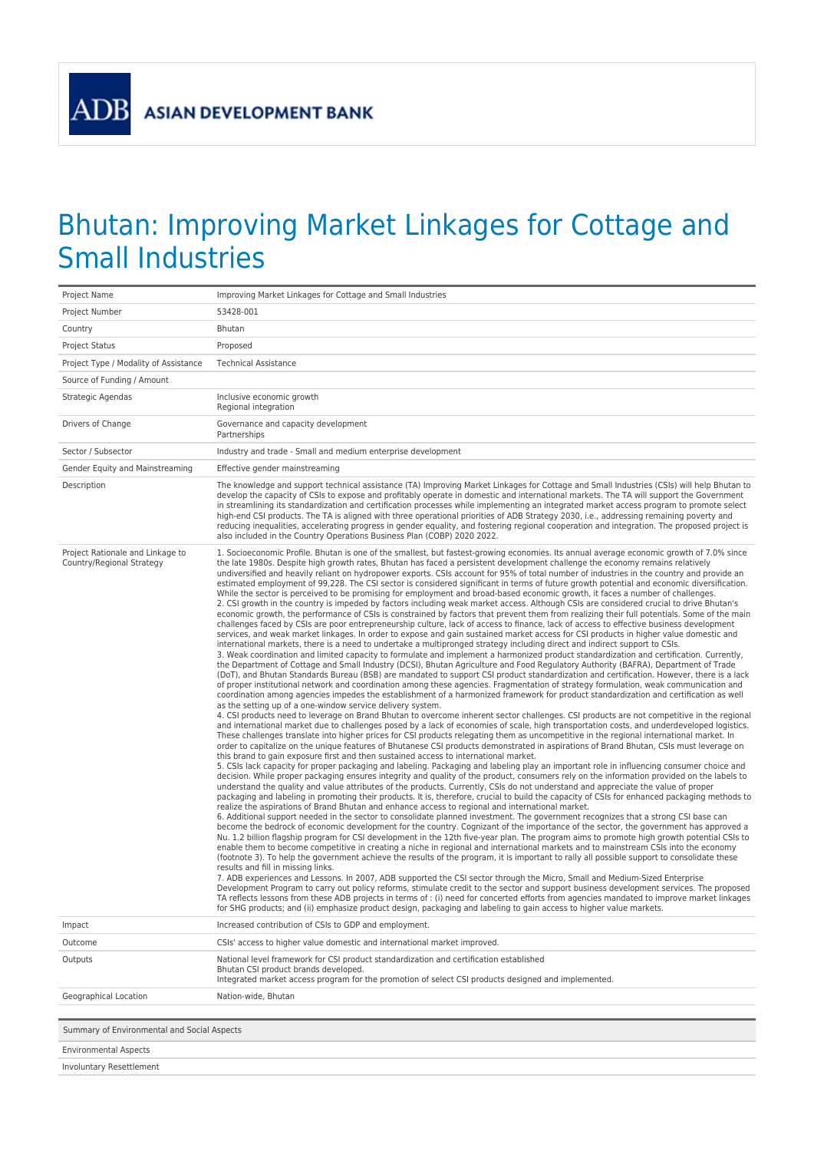**ASIAN DEVELOPMENT BANK** 

**ADB** 

## Bhutan: Improving Market Linkages for Cottage and Small Industries

| 53428-001<br>Project Number<br>Country<br>Bhutan<br><b>Project Status</b><br>Proposed<br>Project Type / Modality of Assistance<br><b>Technical Assistance</b><br>Source of Funding / Amount<br>Strategic Agendas<br>Inclusive economic growth<br>Regional integration<br>Drivers of Change<br>Governance and capacity development<br>Partnerships<br>Sector / Subsector<br>Industry and trade - Small and medium enterprise development<br>Gender Equity and Mainstreaming<br>Effective gender mainstreaming<br>Description<br>The knowledge and support technical assistance (TA) Improving Market Linkages for Cottage and Small Industries (CSIs) will help Bhutan to<br>develop the capacity of CSIs to expose and profitably operate in domestic and international markets. The TA will support the Government<br>in streamlining its standardization and certification processes while implementing an integrated market access program to promote select<br>high-end CSI products. The TA is aligned with three operational priorities of ADB Strategy 2030, i.e., addressing remaining poverty and<br>reducing inequalities, accelerating progress in gender equality, and fostering regional cooperation and integration. The proposed project is<br>also included in the Country Operations Business Plan (COBP) 2020 2022.<br>Project Rationale and Linkage to<br>1. Socioeconomic Profile. Bhutan is one of the smallest, but fastest-growing economies. Its annual average economic growth of 7.0% since<br>Country/Regional Strategy<br>the late 1980s. Despite high growth rates, Bhutan has faced a persistent development challenge the economy remains relatively<br>undiversified and heavily reliant on hydropower exports. CSIs account for 95% of total number of industries in the country and provide an<br>estimated employment of 99,228. The CSI sector is considered significant in terms of future growth potential and economic diversification.<br>While the sector is perceived to be promising for employment and broad-based economic growth, it faces a number of challenges.<br>2. CSI growth in the country is impeded by factors including weak market access. Although CSIs are considered crucial to drive Bhutan's<br>economic growth, the performance of CSIs is constrained by factors that prevent them from realizing their full potentials. Some of the main<br>challenges faced by CSIs are poor entrepreneurship culture, lack of access to finance, lack of access to effective business development<br>services, and weak market linkages. In order to expose and gain sustained market access for CSI products in higher value domestic and<br>international markets, there is a need to undertake a multipronged strategy including direct and indirect support to CSIs.<br>3. Weak coordination and limited capacity to formulate and implement a harmonized product standardization and certification. Currently,<br>the Department of Cottage and Small Industry (DCSI), Bhutan Agriculture and Food Regulatory Authority (BAFRA), Department of Trade<br>(DoT), and Bhutan Standards Bureau (BSB) are mandated to support CSI product standardization and certification. However, there is a lack<br>of proper institutional network and coordination among these agencies. Fragmentation of strategy formulation, weak communication and<br>coordination among agencies impedes the establishment of a harmonized framework for product standardization and certification as well<br>as the setting up of a one-window service delivery system.<br>4. CSI products need to leverage on Brand Bhutan to overcome inherent sector challenges. CSI products are not competitive in the regional<br>and international market due to challenges posed by a lack of economies of scale, high transportation costs, and underdeveloped logistics.<br>These challenges translate into higher prices for CSI products relegating them as uncompetitive in the regional international market. In<br>order to capitalize on the unique features of Bhutanese CSI products demonstrated in aspirations of Brand Bhutan, CSIs must leverage on<br>this brand to gain exposure first and then sustained access to international market.<br>5. CSIs lack capacity for proper packaging and labeling. Packaging and labeling play an important role in influencing consumer choice and<br>decision. While proper packaging ensures integrity and quality of the product, consumers rely on the information provided on the labels to<br>understand the quality and value attributes of the products. Currently, CSIs do not understand and appreciate the value of proper<br>packaging and labeling in promoting their products. It is, therefore, crucial to build the capacity of CSIs for enhanced packaging methods to<br>realize the aspirations of Brand Bhutan and enhance access to regional and international market.<br>6. Additional support needed in the sector to consolidate planned investment. The government recognizes that a strong CSI base can<br>become the bedrock of economic development for the country. Cognizant of the importance of the sector, the government has approved a<br>Nu. 1.2 billion flagship program for CSI development in the 12th five-year plan. The program aims to promote high growth potential CSIs to<br>enable them to become competitive in creating a niche in regional and international markets and to mainstream CSIs into the economy<br>(footnote 3). To help the government achieve the results of the program, it is important to rally all possible support to consolidate these<br>results and fill in missing links.<br>7. ADB experiences and Lessons. In 2007, ADB supported the CSI sector through the Micro, Small and Medium-Sized Enterprise<br>Development Program to carry out policy reforms, stimulate credit to the sector and support business development services. The proposed<br>TA reflects lessons from these ADB projects in terms of : (i) need for concerted efforts from agencies mandated to improve market linkages<br>for SHG products; and (ii) emphasize product design, packaging and labeling to gain access to higher value markets.<br>Increased contribution of CSIs to GDP and employment.<br>Impact<br>CSIs' access to higher value domestic and international market improved.<br>Outcome<br>National level framework for CSI product standardization and certification established<br>Outputs<br>Bhutan CSI product brands developed.<br>Integrated market access program for the promotion of select CSI products designed and implemented.<br>Geographical Location<br>Nation-wide, Bhutan | Project Name | Improving Market Linkages for Cottage and Small Industries |
|---------------------------------------------------------------------------------------------------------------------------------------------------------------------------------------------------------------------------------------------------------------------------------------------------------------------------------------------------------------------------------------------------------------------------------------------------------------------------------------------------------------------------------------------------------------------------------------------------------------------------------------------------------------------------------------------------------------------------------------------------------------------------------------------------------------------------------------------------------------------------------------------------------------------------------------------------------------------------------------------------------------------------------------------------------------------------------------------------------------------------------------------------------------------------------------------------------------------------------------------------------------------------------------------------------------------------------------------------------------------------------------------------------------------------------------------------------------------------------------------------------------------------------------------------------------------------------------------------------------------------------------------------------------------------------------------------------------------------------------------------------------------------------------------------------------------------------------------------------------------------------------------------------------------------------------------------------------------------------------------------------------------------------------------------------------------------------------------------------------------------------------------------------------------------------------------------------------------------------------------------------------------------------------------------------------------------------------------------------------------------------------------------------------------------------------------------------------------------------------------------------------------------------------------------------------------------------------------------------------------------------------------------------------------------------------------------------------------------------------------------------------------------------------------------------------------------------------------------------------------------------------------------------------------------------------------------------------------------------------------------------------------------------------------------------------------------------------------------------------------------------------------------------------------------------------------------------------------------------------------------------------------------------------------------------------------------------------------------------------------------------------------------------------------------------------------------------------------------------------------------------------------------------------------------------------------------------------------------------------------------------------------------------------------------------------------------------------------------------------------------------------------------------------------------------------------------------------------------------------------------------------------------------------------------------------------------------------------------------------------------------------------------------------------------------------------------------------------------------------------------------------------------------------------------------------------------------------------------------------------------------------------------------------------------------------------------------------------------------------------------------------------------------------------------------------------------------------------------------------------------------------------------------------------------------------------------------------------------------------------------------------------------------------------------------------------------------------------------------------------------------------------------------------------------------------------------------------------------------------------------------------------------------------------------------------------------------------------------------------------------------------------------------------------------------------------------------------------------------------------------------------------------------------------------------------------------------------------------------------------------------------------------------------------------------------------------------------------------------------------------------------------------------------------------------------------------------------------------------------------------------------------------------------------------------------------------------------------------------------------------------------------------------------------------------------------------------------------------------------------------------------------------------------------------------------------------------------------------------------------------------------------------------------------------------------------------------------------------------------------------------------------------------------------------------------------------------------------------------------------------------------------------------------------------------------------------------------------------------------------------------------------------------------------------------------------------------------------------------------------------------------------------------------------------------------------------------------------------------------------------------------------------------------------------------------------------------------------------------------------------------------------------------------------------------------------------------------------------------------------|--------------|------------------------------------------------------------|
|                                                                                                                                                                                                                                                                                                                                                                                                                                                                                                                                                                                                                                                                                                                                                                                                                                                                                                                                                                                                                                                                                                                                                                                                                                                                                                                                                                                                                                                                                                                                                                                                                                                                                                                                                                                                                                                                                                                                                                                                                                                                                                                                                                                                                                                                                                                                                                                                                                                                                                                                                                                                                                                                                                                                                                                                                                                                                                                                                                                                                                                                                                                                                                                                                                                                                                                                                                                                                                                                                                                                                                                                                                                                                                                                                                                                                                                                                                                                                                                                                                                                                                                                                                                                                                                                                                                                                                                                                                                                                                                                                                                                                                                                                                                                                                                                                                                                                                                                                                                                                                                                                                                                                                                                                                                                                                                                                                                                                                                                                                                                                                                                                                                                                                                                                                                                                                                                                                                                                                                                                                                                                                                                                                                                                                                                                                                                                                                                                                                                                                                                                                                                                                                                                                                                             |              |                                                            |
|                                                                                                                                                                                                                                                                                                                                                                                                                                                                                                                                                                                                                                                                                                                                                                                                                                                                                                                                                                                                                                                                                                                                                                                                                                                                                                                                                                                                                                                                                                                                                                                                                                                                                                                                                                                                                                                                                                                                                                                                                                                                                                                                                                                                                                                                                                                                                                                                                                                                                                                                                                                                                                                                                                                                                                                                                                                                                                                                                                                                                                                                                                                                                                                                                                                                                                                                                                                                                                                                                                                                                                                                                                                                                                                                                                                                                                                                                                                                                                                                                                                                                                                                                                                                                                                                                                                                                                                                                                                                                                                                                                                                                                                                                                                                                                                                                                                                                                                                                                                                                                                                                                                                                                                                                                                                                                                                                                                                                                                                                                                                                                                                                                                                                                                                                                                                                                                                                                                                                                                                                                                                                                                                                                                                                                                                                                                                                                                                                                                                                                                                                                                                                                                                                                                                             |              |                                                            |
|                                                                                                                                                                                                                                                                                                                                                                                                                                                                                                                                                                                                                                                                                                                                                                                                                                                                                                                                                                                                                                                                                                                                                                                                                                                                                                                                                                                                                                                                                                                                                                                                                                                                                                                                                                                                                                                                                                                                                                                                                                                                                                                                                                                                                                                                                                                                                                                                                                                                                                                                                                                                                                                                                                                                                                                                                                                                                                                                                                                                                                                                                                                                                                                                                                                                                                                                                                                                                                                                                                                                                                                                                                                                                                                                                                                                                                                                                                                                                                                                                                                                                                                                                                                                                                                                                                                                                                                                                                                                                                                                                                                                                                                                                                                                                                                                                                                                                                                                                                                                                                                                                                                                                                                                                                                                                                                                                                                                                                                                                                                                                                                                                                                                                                                                                                                                                                                                                                                                                                                                                                                                                                                                                                                                                                                                                                                                                                                                                                                                                                                                                                                                                                                                                                                                             |              |                                                            |
|                                                                                                                                                                                                                                                                                                                                                                                                                                                                                                                                                                                                                                                                                                                                                                                                                                                                                                                                                                                                                                                                                                                                                                                                                                                                                                                                                                                                                                                                                                                                                                                                                                                                                                                                                                                                                                                                                                                                                                                                                                                                                                                                                                                                                                                                                                                                                                                                                                                                                                                                                                                                                                                                                                                                                                                                                                                                                                                                                                                                                                                                                                                                                                                                                                                                                                                                                                                                                                                                                                                                                                                                                                                                                                                                                                                                                                                                                                                                                                                                                                                                                                                                                                                                                                                                                                                                                                                                                                                                                                                                                                                                                                                                                                                                                                                                                                                                                                                                                                                                                                                                                                                                                                                                                                                                                                                                                                                                                                                                                                                                                                                                                                                                                                                                                                                                                                                                                                                                                                                                                                                                                                                                                                                                                                                                                                                                                                                                                                                                                                                                                                                                                                                                                                                                             |              |                                                            |
|                                                                                                                                                                                                                                                                                                                                                                                                                                                                                                                                                                                                                                                                                                                                                                                                                                                                                                                                                                                                                                                                                                                                                                                                                                                                                                                                                                                                                                                                                                                                                                                                                                                                                                                                                                                                                                                                                                                                                                                                                                                                                                                                                                                                                                                                                                                                                                                                                                                                                                                                                                                                                                                                                                                                                                                                                                                                                                                                                                                                                                                                                                                                                                                                                                                                                                                                                                                                                                                                                                                                                                                                                                                                                                                                                                                                                                                                                                                                                                                                                                                                                                                                                                                                                                                                                                                                                                                                                                                                                                                                                                                                                                                                                                                                                                                                                                                                                                                                                                                                                                                                                                                                                                                                                                                                                                                                                                                                                                                                                                                                                                                                                                                                                                                                                                                                                                                                                                                                                                                                                                                                                                                                                                                                                                                                                                                                                                                                                                                                                                                                                                                                                                                                                                                                             |              |                                                            |
|                                                                                                                                                                                                                                                                                                                                                                                                                                                                                                                                                                                                                                                                                                                                                                                                                                                                                                                                                                                                                                                                                                                                                                                                                                                                                                                                                                                                                                                                                                                                                                                                                                                                                                                                                                                                                                                                                                                                                                                                                                                                                                                                                                                                                                                                                                                                                                                                                                                                                                                                                                                                                                                                                                                                                                                                                                                                                                                                                                                                                                                                                                                                                                                                                                                                                                                                                                                                                                                                                                                                                                                                                                                                                                                                                                                                                                                                                                                                                                                                                                                                                                                                                                                                                                                                                                                                                                                                                                                                                                                                                                                                                                                                                                                                                                                                                                                                                                                                                                                                                                                                                                                                                                                                                                                                                                                                                                                                                                                                                                                                                                                                                                                                                                                                                                                                                                                                                                                                                                                                                                                                                                                                                                                                                                                                                                                                                                                                                                                                                                                                                                                                                                                                                                                                             |              |                                                            |
|                                                                                                                                                                                                                                                                                                                                                                                                                                                                                                                                                                                                                                                                                                                                                                                                                                                                                                                                                                                                                                                                                                                                                                                                                                                                                                                                                                                                                                                                                                                                                                                                                                                                                                                                                                                                                                                                                                                                                                                                                                                                                                                                                                                                                                                                                                                                                                                                                                                                                                                                                                                                                                                                                                                                                                                                                                                                                                                                                                                                                                                                                                                                                                                                                                                                                                                                                                                                                                                                                                                                                                                                                                                                                                                                                                                                                                                                                                                                                                                                                                                                                                                                                                                                                                                                                                                                                                                                                                                                                                                                                                                                                                                                                                                                                                                                                                                                                                                                                                                                                                                                                                                                                                                                                                                                                                                                                                                                                                                                                                                                                                                                                                                                                                                                                                                                                                                                                                                                                                                                                                                                                                                                                                                                                                                                                                                                                                                                                                                                                                                                                                                                                                                                                                                                             |              |                                                            |
|                                                                                                                                                                                                                                                                                                                                                                                                                                                                                                                                                                                                                                                                                                                                                                                                                                                                                                                                                                                                                                                                                                                                                                                                                                                                                                                                                                                                                                                                                                                                                                                                                                                                                                                                                                                                                                                                                                                                                                                                                                                                                                                                                                                                                                                                                                                                                                                                                                                                                                                                                                                                                                                                                                                                                                                                                                                                                                                                                                                                                                                                                                                                                                                                                                                                                                                                                                                                                                                                                                                                                                                                                                                                                                                                                                                                                                                                                                                                                                                                                                                                                                                                                                                                                                                                                                                                                                                                                                                                                                                                                                                                                                                                                                                                                                                                                                                                                                                                                                                                                                                                                                                                                                                                                                                                                                                                                                                                                                                                                                                                                                                                                                                                                                                                                                                                                                                                                                                                                                                                                                                                                                                                                                                                                                                                                                                                                                                                                                                                                                                                                                                                                                                                                                                                             |              |                                                            |
|                                                                                                                                                                                                                                                                                                                                                                                                                                                                                                                                                                                                                                                                                                                                                                                                                                                                                                                                                                                                                                                                                                                                                                                                                                                                                                                                                                                                                                                                                                                                                                                                                                                                                                                                                                                                                                                                                                                                                                                                                                                                                                                                                                                                                                                                                                                                                                                                                                                                                                                                                                                                                                                                                                                                                                                                                                                                                                                                                                                                                                                                                                                                                                                                                                                                                                                                                                                                                                                                                                                                                                                                                                                                                                                                                                                                                                                                                                                                                                                                                                                                                                                                                                                                                                                                                                                                                                                                                                                                                                                                                                                                                                                                                                                                                                                                                                                                                                                                                                                                                                                                                                                                                                                                                                                                                                                                                                                                                                                                                                                                                                                                                                                                                                                                                                                                                                                                                                                                                                                                                                                                                                                                                                                                                                                                                                                                                                                                                                                                                                                                                                                                                                                                                                                                             |              |                                                            |
|                                                                                                                                                                                                                                                                                                                                                                                                                                                                                                                                                                                                                                                                                                                                                                                                                                                                                                                                                                                                                                                                                                                                                                                                                                                                                                                                                                                                                                                                                                                                                                                                                                                                                                                                                                                                                                                                                                                                                                                                                                                                                                                                                                                                                                                                                                                                                                                                                                                                                                                                                                                                                                                                                                                                                                                                                                                                                                                                                                                                                                                                                                                                                                                                                                                                                                                                                                                                                                                                                                                                                                                                                                                                                                                                                                                                                                                                                                                                                                                                                                                                                                                                                                                                                                                                                                                                                                                                                                                                                                                                                                                                                                                                                                                                                                                                                                                                                                                                                                                                                                                                                                                                                                                                                                                                                                                                                                                                                                                                                                                                                                                                                                                                                                                                                                                                                                                                                                                                                                                                                                                                                                                                                                                                                                                                                                                                                                                                                                                                                                                                                                                                                                                                                                                                             |              |                                                            |
|                                                                                                                                                                                                                                                                                                                                                                                                                                                                                                                                                                                                                                                                                                                                                                                                                                                                                                                                                                                                                                                                                                                                                                                                                                                                                                                                                                                                                                                                                                                                                                                                                                                                                                                                                                                                                                                                                                                                                                                                                                                                                                                                                                                                                                                                                                                                                                                                                                                                                                                                                                                                                                                                                                                                                                                                                                                                                                                                                                                                                                                                                                                                                                                                                                                                                                                                                                                                                                                                                                                                                                                                                                                                                                                                                                                                                                                                                                                                                                                                                                                                                                                                                                                                                                                                                                                                                                                                                                                                                                                                                                                                                                                                                                                                                                                                                                                                                                                                                                                                                                                                                                                                                                                                                                                                                                                                                                                                                                                                                                                                                                                                                                                                                                                                                                                                                                                                                                                                                                                                                                                                                                                                                                                                                                                                                                                                                                                                                                                                                                                                                                                                                                                                                                                                             |              |                                                            |
|                                                                                                                                                                                                                                                                                                                                                                                                                                                                                                                                                                                                                                                                                                                                                                                                                                                                                                                                                                                                                                                                                                                                                                                                                                                                                                                                                                                                                                                                                                                                                                                                                                                                                                                                                                                                                                                                                                                                                                                                                                                                                                                                                                                                                                                                                                                                                                                                                                                                                                                                                                                                                                                                                                                                                                                                                                                                                                                                                                                                                                                                                                                                                                                                                                                                                                                                                                                                                                                                                                                                                                                                                                                                                                                                                                                                                                                                                                                                                                                                                                                                                                                                                                                                                                                                                                                                                                                                                                                                                                                                                                                                                                                                                                                                                                                                                                                                                                                                                                                                                                                                                                                                                                                                                                                                                                                                                                                                                                                                                                                                                                                                                                                                                                                                                                                                                                                                                                                                                                                                                                                                                                                                                                                                                                                                                                                                                                                                                                                                                                                                                                                                                                                                                                                                             |              |                                                            |
|                                                                                                                                                                                                                                                                                                                                                                                                                                                                                                                                                                                                                                                                                                                                                                                                                                                                                                                                                                                                                                                                                                                                                                                                                                                                                                                                                                                                                                                                                                                                                                                                                                                                                                                                                                                                                                                                                                                                                                                                                                                                                                                                                                                                                                                                                                                                                                                                                                                                                                                                                                                                                                                                                                                                                                                                                                                                                                                                                                                                                                                                                                                                                                                                                                                                                                                                                                                                                                                                                                                                                                                                                                                                                                                                                                                                                                                                                                                                                                                                                                                                                                                                                                                                                                                                                                                                                                                                                                                                                                                                                                                                                                                                                                                                                                                                                                                                                                                                                                                                                                                                                                                                                                                                                                                                                                                                                                                                                                                                                                                                                                                                                                                                                                                                                                                                                                                                                                                                                                                                                                                                                                                                                                                                                                                                                                                                                                                                                                                                                                                                                                                                                                                                                                                                             |              |                                                            |
|                                                                                                                                                                                                                                                                                                                                                                                                                                                                                                                                                                                                                                                                                                                                                                                                                                                                                                                                                                                                                                                                                                                                                                                                                                                                                                                                                                                                                                                                                                                                                                                                                                                                                                                                                                                                                                                                                                                                                                                                                                                                                                                                                                                                                                                                                                                                                                                                                                                                                                                                                                                                                                                                                                                                                                                                                                                                                                                                                                                                                                                                                                                                                                                                                                                                                                                                                                                                                                                                                                                                                                                                                                                                                                                                                                                                                                                                                                                                                                                                                                                                                                                                                                                                                                                                                                                                                                                                                                                                                                                                                                                                                                                                                                                                                                                                                                                                                                                                                                                                                                                                                                                                                                                                                                                                                                                                                                                                                                                                                                                                                                                                                                                                                                                                                                                                                                                                                                                                                                                                                                                                                                                                                                                                                                                                                                                                                                                                                                                                                                                                                                                                                                                                                                                                             |              |                                                            |
|                                                                                                                                                                                                                                                                                                                                                                                                                                                                                                                                                                                                                                                                                                                                                                                                                                                                                                                                                                                                                                                                                                                                                                                                                                                                                                                                                                                                                                                                                                                                                                                                                                                                                                                                                                                                                                                                                                                                                                                                                                                                                                                                                                                                                                                                                                                                                                                                                                                                                                                                                                                                                                                                                                                                                                                                                                                                                                                                                                                                                                                                                                                                                                                                                                                                                                                                                                                                                                                                                                                                                                                                                                                                                                                                                                                                                                                                                                                                                                                                                                                                                                                                                                                                                                                                                                                                                                                                                                                                                                                                                                                                                                                                                                                                                                                                                                                                                                                                                                                                                                                                                                                                                                                                                                                                                                                                                                                                                                                                                                                                                                                                                                                                                                                                                                                                                                                                                                                                                                                                                                                                                                                                                                                                                                                                                                                                                                                                                                                                                                                                                                                                                                                                                                                                             |              |                                                            |

Summary of Environmental and Social Aspects

Environmental Aspects

Involuntary Resettlement